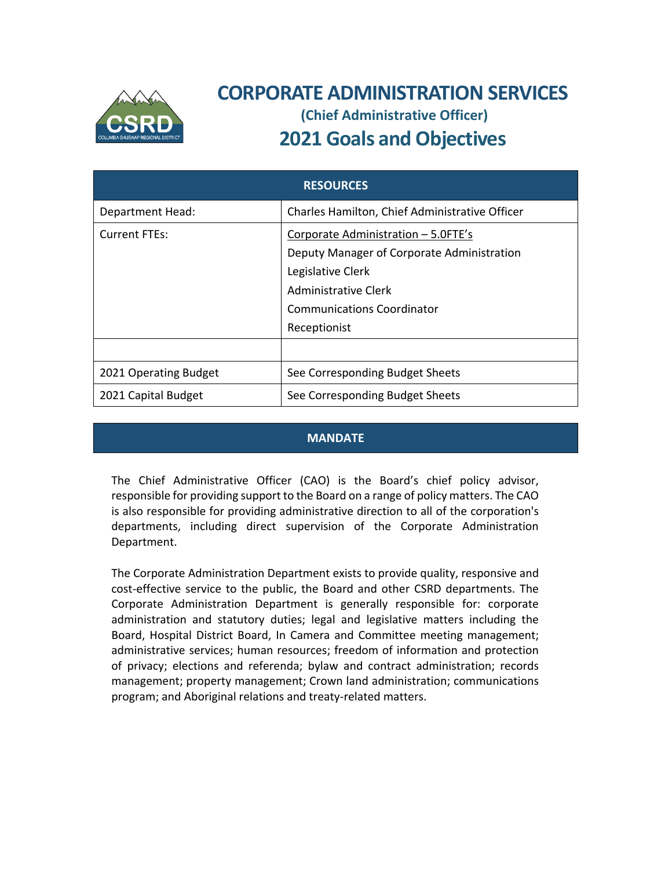

# **CORPORATE ADMINISTRATION SERVICES (Chief Administrative Officer)**

# **2021 Goals and Objectives**

| <b>RESOURCES</b>      |                                                |
|-----------------------|------------------------------------------------|
| Department Head:      | Charles Hamilton, Chief Administrative Officer |
| <b>Current FTEs:</b>  | Corporate Administration - 5.0FTE's            |
|                       | Deputy Manager of Corporate Administration     |
|                       | Legislative Clerk                              |
|                       | Administrative Clerk                           |
|                       | <b>Communications Coordinator</b>              |
|                       | Receptionist                                   |
|                       |                                                |
| 2021 Operating Budget | See Corresponding Budget Sheets                |
| 2021 Capital Budget   | See Corresponding Budget Sheets                |

### **MANDATE**

The Chief Administrative Officer (CAO) is the Board's chief policy advisor, responsible for providing support to the Board on a range of policy matters. The CAO is also responsible for providing administrative direction to all of the corporation's departments, including direct supervision of the Corporate Administration Department.

The Corporate Administration Department exists to provide quality, responsive and cost-effective service to the public, the Board and other CSRD departments. The Corporate Administration Department is generally responsible for: corporate administration and statutory duties; legal and legislative matters including the Board, Hospital District Board, In Camera and Committee meeting management; administrative services; human resources; freedom of information and protection of privacy; elections and referenda; bylaw and contract administration; records management; property management; Crown land administration; communications program; and Aboriginal relations and treaty‐related matters.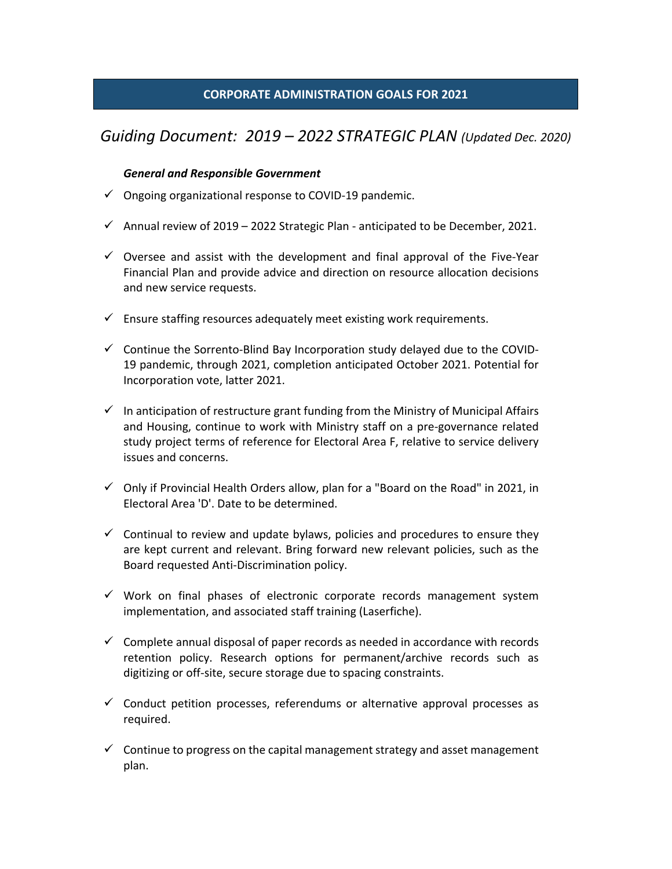### **CORPORATE ADMINISTRATION GOALS FOR 2021**

## *Guiding Document: 2019 – 2022 STRATEGIC PLAN (Updated Dec. 2020)*

#### *General and Responsible Government*

- Ongoing organizational response to COVID‐19 pandemic.
- Annual review of 2019 2022 Strategic Plan anticipated to be December, 2021.
- $\checkmark$  Oversee and assist with the development and final approval of the Five-Year Financial Plan and provide advice and direction on resource allocation decisions and new service requests.
- $\checkmark$  Ensure staffing resources adequately meet existing work requirements.
- $\checkmark$  Continue the Sorrento-Blind Bay Incorporation study delayed due to the COVID-19 pandemic, through 2021, completion anticipated October 2021. Potential for Incorporation vote, latter 2021.
- $\checkmark$  In anticipation of restructure grant funding from the Ministry of Municipal Affairs and Housing, continue to work with Ministry staff on a pre‐governance related study project terms of reference for Electoral Area F, relative to service delivery issues and concerns.
- $\checkmark$  Only if Provincial Health Orders allow, plan for a "Board on the Road" in 2021, in Electoral Area 'D'. Date to be determined.
- $\checkmark$  Continual to review and update bylaws, policies and procedures to ensure they are kept current and relevant. Bring forward new relevant policies, such as the Board requested Anti‐Discrimination policy.
- $\checkmark$  Work on final phases of electronic corporate records management system implementation, and associated staff training (Laserfiche).
- $\checkmark$  Complete annual disposal of paper records as needed in accordance with records retention policy. Research options for permanent/archive records such as digitizing or off‐site, secure storage due to spacing constraints.
- $\checkmark$  Conduct petition processes, referendums or alternative approval processes as required.
- $\checkmark$  Continue to progress on the capital management strategy and asset management plan.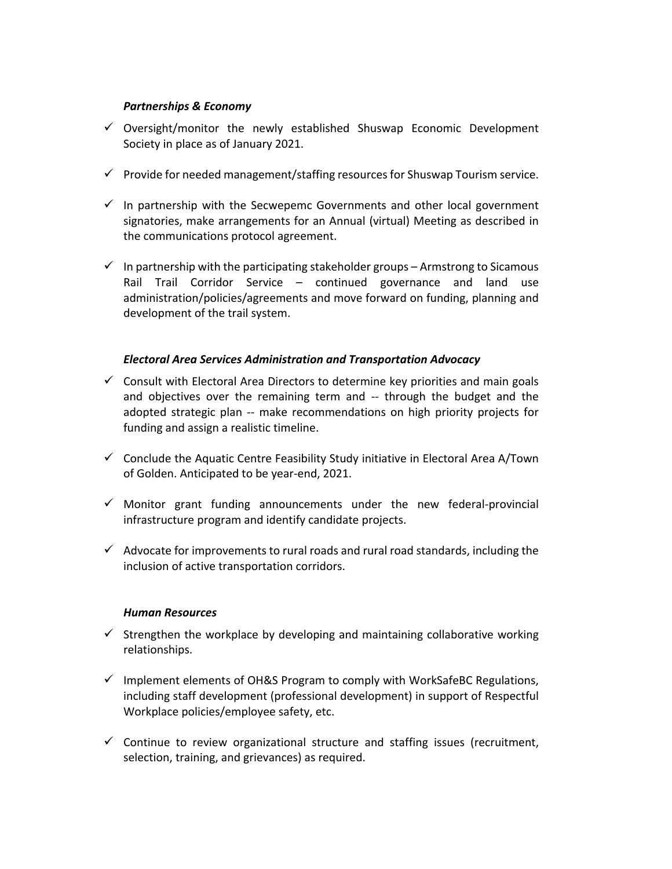#### *Partnerships & Economy*

- $\checkmark$  Oversight/monitor the newly established Shuswap Economic Development Society in place as of January 2021.
- $\checkmark$  Provide for needed management/staffing resources for Shuswap Tourism service.
- $\checkmark$  In partnership with the Secwepemc Governments and other local government signatories, make arrangements for an Annual (virtual) Meeting as described in the communications protocol agreement.
- $\checkmark$  In partnership with the participating stakeholder groups Armstrong to Sicamous Rail Trail Corridor Service – continued governance and land use administration/policies/agreements and move forward on funding, planning and development of the trail system.

#### *Electoral Area Services Administration and Transportation Advocacy*

- $\checkmark$  Consult with Electoral Area Directors to determine key priorities and main goals and objectives over the remaining term and ‐‐ through the budget and the adopted strategic plan -- make recommendations on high priority projects for funding and assign a realistic timeline.
- $\checkmark$  Conclude the Aquatic Centre Feasibility Study initiative in Electoral Area A/Town of Golden. Anticipated to be year‐end, 2021.
- $\checkmark$  Monitor grant funding announcements under the new federal-provincial infrastructure program and identify candidate projects.
- $\checkmark$  Advocate for improvements to rural roads and rural road standards, including the inclusion of active transportation corridors.

#### *Human Resources*

- $\checkmark$  Strengthen the workplace by developing and maintaining collaborative working relationships.
- $\checkmark$  Implement elements of OH&S Program to comply with WorkSafeBC Regulations, including staff development (professional development) in support of Respectful Workplace policies/employee safety, etc.
- $\checkmark$  Continue to review organizational structure and staffing issues (recruitment, selection, training, and grievances) as required.